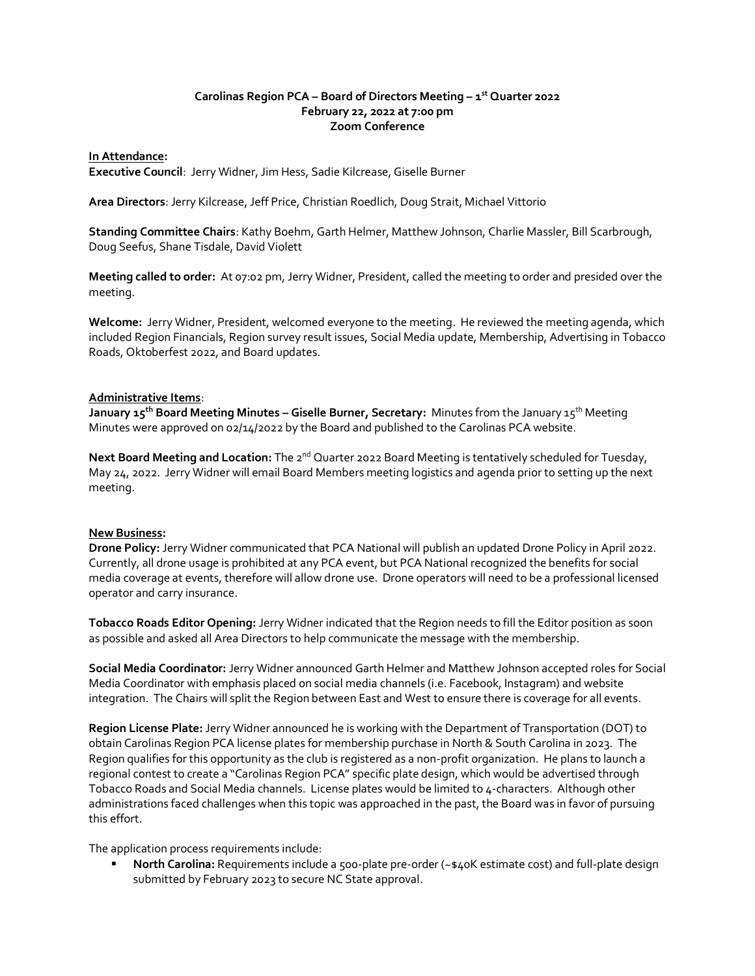# **Carolinas Region PCA – Board of Directors Meeting – 1 st Quarter 2022 February 22, 2022 at 7:00 pm Zoom Conference**

### **In Attendance:**

**Executive Council**: Jerry Widner, Jim Hess, Sadie Kilcrease, Giselle Burner

**Area Directors**: Jerry Kilcrease, Jeff Price, Christian Roedlich, Doug Strait, Michael Vittorio

**Standing Committee Chairs**: Kathy Boehm, Garth Helmer, Matthew Johnson, Charlie Massler, Bill Scarbrough, Doug Seefus, Shane Tisdale, David Violett

**Meeting called to order:** At 07:02 pm, Jerry Widner, President, called the meeting to order and presided over the meeting.

**Welcome:** Jerry Widner, President, welcomed everyone to the meeting. He reviewed the meeting agenda, which included Region Financials, Region survey result issues, Social Media update, Membership, Advertising in Tobacco Roads, Oktoberfest 2022, and Board updates.

#### **Administrative Items**:

**January 15th Board Meeting Minutes – Giselle Burner, Secretary:** Minutes from the January 15th Meeting Minutes were approved on 02/14/2022 by the Board and published to the Carolinas PCA website.

Next Board Meeting and Location: The 2<sup>nd</sup> Quarter 2022 Board Meeting is tentatively scheduled for Tuesday, May 24, 2022. Jerry Widner will email Board Members meeting logistics and agenda prior to setting up the next meeting.

# **New Business:**

**Drone Policy:** Jerry Widner communicated that PCA National will publish an updated Drone Policy in April 2022. Currently, all drone usage is prohibited at any PCA event, but PCA National recognized the benefits for social media coverage at events, therefore will allow drone use. Drone operators will need to be a professional licensed operator and carry insurance.

**Tobacco Roads Editor Opening:** Jerry Widner indicated that the Region needs to fill the Editor position as soon as possible and asked all Area Directors to help communicate the message with the membership.

**Social Media Coordinator:** Jerry Widner announced Garth Helmer and Matthew Johnson accepted roles for Social Media Coordinator with emphasis placed on social media channels (i.e. Facebook, Instagram) and website integration. The Chairs will split the Region between East and West to ensure there is coverage for all events.

**Region License Plate:** Jerry Widner announced he is working with the Department of Transportation (DOT) to obtain Carolinas Region PCA license plates for membership purchase in North & South Carolina in 2023. The Region qualifies for this opportunity as the club is registered as a non-profit organization. He plans to launch a regional contest to create a "Carolinas Region PCA" specific plate design, which would be advertised through Tobacco Roads and Social Media channels. License plates would be limited to 4-characters. Although other administrations faced challenges when this topic was approached in the past, the Board was in favor of pursuing this effort.

The application process requirements include:

▪ **North Carolina:** Requirements include a 500-plate pre-order (~\$40K estimate cost) and full-plate design submitted by February 2023 to secure NC State approval.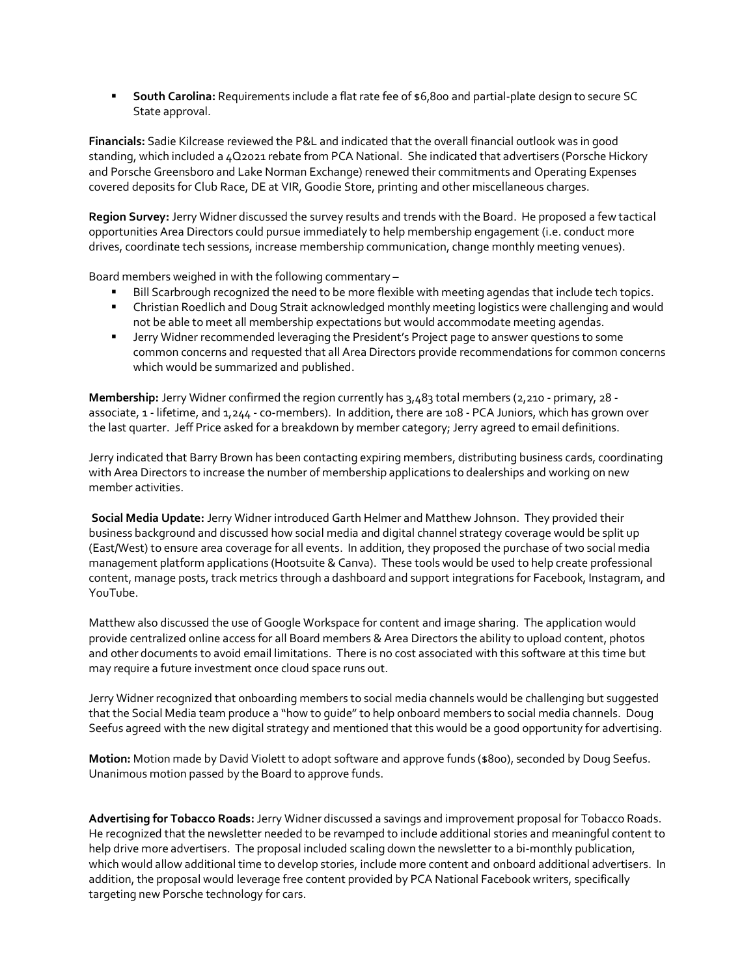■ South Carolina: Requirements include a flat rate fee of \$6,800 and partial-plate design to secure SC State approval.

**Financials:** Sadie Kilcrease reviewed the P&L and indicated that the overall financial outlook was in good standing, which included a 4Q2021 rebate from PCA National. She indicated that advertisers (Porsche Hickory and Porsche Greensboro and Lake Norman Exchange) renewed their commitments and Operating Expenses covered deposits for Club Race, DE at VIR, Goodie Store, printing and other miscellaneous charges.

**Region Survey:** Jerry Widner discussed the survey results and trends with the Board. He proposed a few tactical opportunities Area Directors could pursue immediately to help membership engagement (i.e. conduct more drives, coordinate tech sessions, increase membership communication, change monthly meeting venues).

Board members weighed in with the following commentary –

- Bill Scarbrough recognized the need to be more flexible with meeting agendas that include tech topics.
- **E** Christian Roedlich and Doug Strait acknowledged monthly meeting logistics were challenging and would not be able to meet all membership expectations but would accommodate meeting agendas.
- **■** Jerry Widner recommended leveraging the President's Project page to answer questions to some common concerns and requested that all Area Directors provide recommendations for common concerns which would be summarized and published.

**Membership:** Jerry Widner confirmed the region currently has 3,483 total members (2,210 - primary, 28 associate, 1 - lifetime, and 1,244 - co-members). In addition, there are 108 - PCA Juniors, which has grown over the last quarter. Jeff Price asked for a breakdown by member category; Jerry agreed to email definitions.

Jerry indicated that Barry Brown has been contacting expiring members, distributing business cards, coordinating with Area Directors to increase the number of membership applications to dealerships and working on new member activities.

**Social Media Update:** Jerry Widner introduced Garth Helmer and Matthew Johnson. They provided their business background and discussed how social media and digital channel strategy coverage would be split up (East/West) to ensure area coverage for all events. In addition, they proposed the purchase of two social media management platform applications (Hootsuite & Canva). These tools would be used to help create professional content, manage posts, track metrics through a dashboard and support integrations for Facebook, Instagram, and YouTube.

Matthew also discussed the use of Google Workspace for content and image sharing. The application would provide centralized online access for all Board members & Area Directors the ability to upload content, photos and other documents to avoid email limitations. There is no cost associated with this software at this time but may require a future investment once cloud space runs out.

Jerry Widner recognized that onboarding members to social media channels would be challenging but suggested that the Social Media team produce a "how to guide" to help onboard members to social media channels. Doug Seefus agreed with the new digital strategy and mentioned that this would be a good opportunity for advertising.

**Motion:** Motion made by David Violett to adopt software and approve funds (\$800), seconded by Doug Seefus. Unanimous motion passed by the Board to approve funds.

**Advertising for Tobacco Roads:**Jerry Widner discussed a savings and improvement proposal for Tobacco Roads. He recognized that the newsletter needed to be revamped to include additional stories and meaningful content to help drive more advertisers. The proposal included scaling down the newsletter to a bi-monthly publication, which would allow additional time to develop stories, include more content and onboard additional advertisers. In addition, the proposal would leverage free content provided by PCA National Facebook writers, specifically targeting new Porsche technology for cars.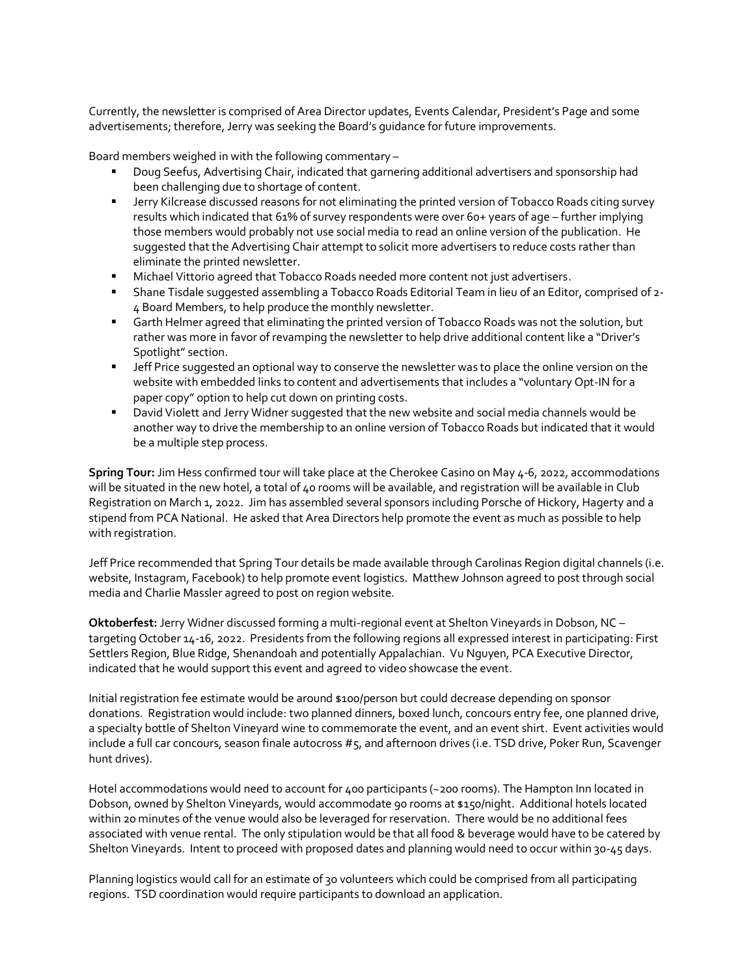Currently, the newsletter is comprised of Area Director updates, Events Calendar, President's Page and some advertisements; therefore, Jerry was seeking the Board's guidance for future improvements.

Board members weighed in with the following commentary –

- Doug Seefus, Advertising Chair, indicated that garnering additional advertisers and sponsorship had been challenging due to shortage of content.
- **EXECT A Jerry Kilcrease discussed reasons for not eliminating the printed version of Tobacco Roads citing survey** results which indicated that 61% of survey respondents were over 60+ years of age – further implying those members would probably not use social media to read an online version of the publication. He suggested that the Advertising Chair attempt to solicit more advertisers to reduce costs rather than eliminate the printed newsletter.
- **■** Michael Vittorio agreed that Tobacco Roads needed more content not just advertisers.
- Shane Tisdale suggested assembling a Tobacco Roads Editorial Team in lieu of an Editor, comprised of 2- 4 Board Members, to help produce the monthly newsletter.
- Garth Helmer agreed that eliminating the printed version of Tobacco Roads was not the solution, but rather was more in favor of revamping the newsletter to help drive additional content like a "Driver's Spotlight" section.
- **■** Jeff Price suggested an optional way to conserve the newsletter was to place the online version on the website with embedded links to content and advertisements that includes a "voluntary Opt-IN for a paper copy" option to help cut down on printing costs.
- **■** David Violett and Jerry Widner suggested that the new website and social media channels would be another way to drive the membership to an online version of Tobacco Roads but indicated that it would be a multiple step process.

**Spring Tour:** Jim Hess confirmed tour will take place at the Cherokee Casino on May 4-6, 2022, accommodations will be situated in the new hotel, a total of 40 rooms will be available, and registration will be available in Club Registration on March 1, 2022. Jim has assembled several sponsors including Porsche of Hickory, Hagerty and a stipend from PCA National. He asked that Area Directors help promote the event as much as possible to help with registration.

Jeff Price recommended that Spring Tour details be made available through Carolinas Region digital channels (i.e. website, Instagram, Facebook) to help promote event logistics. Matthew Johnson agreed to post through social media and Charlie Massler agreed to post on region website.

**Oktoberfest:** Jerry Widner discussed forming a multi-regional event at Shelton Vineyards in Dobson, NC – targeting October 14-16, 2022. Presidents from the following regions all expressed interest in participating: First Settlers Region, Blue Ridge, Shenandoah and potentially Appalachian. Vu Nguyen, PCA Executive Director, indicated that he would support this event and agreed to video showcase the event.

Initial registration fee estimate would be around \$100/person but could decrease depending on sponsor donations. Registration would include: two planned dinners, boxed lunch, concours entry fee, one planned drive, a specialty bottle of Shelton Vineyard wine to commemorate the event, and an event shirt. Event activities would include a full car concours, season finale autocross #5, and afternoon drives (i.e. TSD drive, Poker Run, Scavenger hunt drives).

Hotel accommodations would need to account for 400 participants (~200 rooms). The Hampton Inn located in Dobson, owned by Shelton Vineyards, would accommodate 90 rooms at \$150/night. Additional hotels located within 20 minutes of the venue would also be leveraged for reservation. There would be no additional fees associated with venue rental. The only stipulation would be that all food & beverage would have to be catered by Shelton Vineyards. Intent to proceed with proposed dates and planning would need to occur within 30-45 days.

Planning logistics would call for an estimate of 30 volunteers which could be comprised from all participating regions. TSD coordination would require participants to download an application.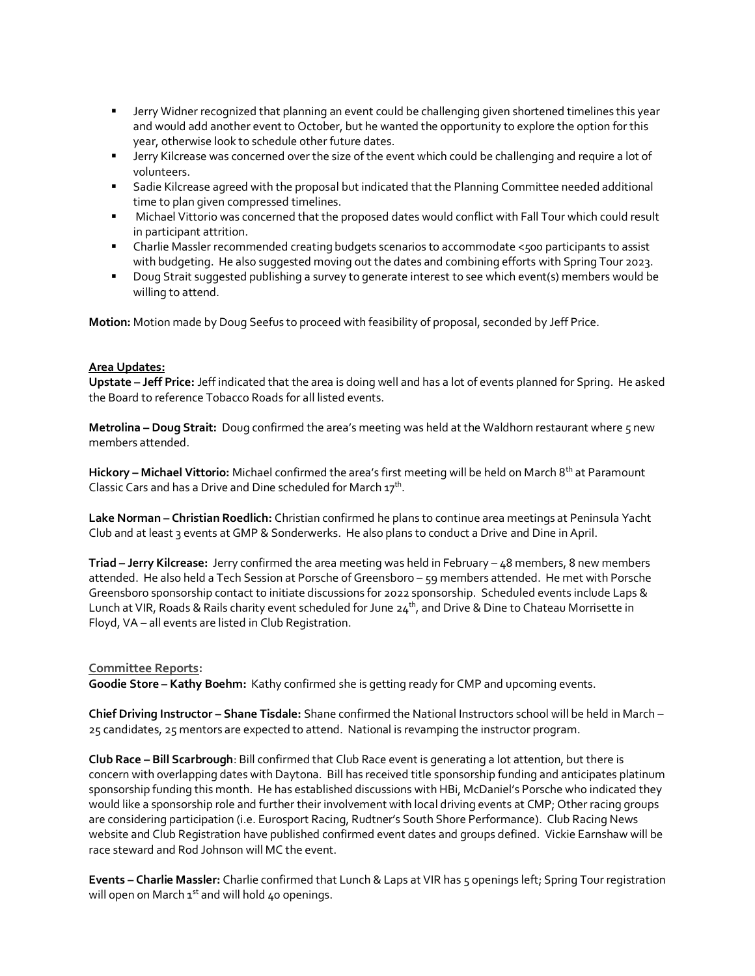- Jerry Widner recognized that planning an event could be challenging given shortened timelines this year and would add another event to October, but he wanted the opportunity to explore the option for this year, otherwise look to schedule other future dates.
- Jerry Kilcrease was concerned over the size of the event which could be challenging and require a lot of volunteers.
- **■** Sadie Kilcrease agreed with the proposal but indicated that the Planning Committee needed additional time to plan given compressed timelines.
- Michael Vittorio was concerned that the proposed dates would conflict with Fall Tour which could result in participant attrition.
- Charlie Massler recommended creating budgets scenarios to accommodate <500 participants to assist with budgeting. He also suggested moving out the dates and combining efforts with Spring Tour 2023.
- Doug Strait suggested publishing a survey to generate interest to see which event(s) members would be willing to attend.

**Motion:** Motion made by Doug Seefus to proceed with feasibility of proposal, seconded by Jeff Price.

#### **Area Updates:**

**Upstate – Jeff Price:** Jeff indicated that the area is doing well and has a lot of events planned for Spring. He asked the Board to reference Tobacco Roads for all listed events.

**Metrolina – Doug Strait:** Doug confirmed the area's meeting was held at the Waldhorn restaurant where 5 new members attended.

**Hickory – Michael Vittorio:** Michael confirmed the area's first meeting will be held on March 8th at Paramount Classic Cars and has a Drive and Dine scheduled for March 17<sup>th</sup>.

**Lake Norman – Christian Roedlich:** Christian confirmed he plans to continue area meetings at Peninsula Yacht Club and at least 3 events at GMP & Sonderwerks. He also plans to conduct a Drive and Dine in April.

**Triad – Jerry Kilcrease:** Jerry confirmed the area meeting was held in February – 48 members, 8 new members attended. He also held a Tech Session at Porsche of Greensboro – 59 members attended. He met with Porsche Greensboro sponsorship contact to initiate discussions for 2022 sponsorship. Scheduled events include Laps & Lunch at VIR, Roads & Rails charity event scheduled for June 24<sup>th</sup>, and Drive & Dine to Chateau Morrisette in Floyd, VA – all events are listed in Club Registration.

# **Committee Reports:**

**Goodie Store – Kathy Boehm:** Kathy confirmed she is getting ready for CMP and upcoming events.

**Chief Driving Instructor – Shane Tisdale:** Shane confirmed the National Instructors school will be held in March – 25 candidates, 25 mentors are expected to attend. National is revamping the instructor program.

**Club Race – Bill Scarbrough**: Bill confirmed that Club Race event is generating a lot attention, but there is concern with overlapping dates with Daytona. Bill has received title sponsorship funding and anticipates platinum sponsorship funding this month. He has established discussions with HBi, McDaniel's Porsche who indicated they would like a sponsorship role and further their involvement with local driving events at CMP; Other racing groups are considering participation (i.e. Eurosport Racing, Rudtner's South Shore Performance). Club Racing News website and Club Registration have published confirmed event dates and groups defined. Vickie Earnshaw will be race steward and Rod Johnson will MC the event.

**Events – Charlie Massler:** Charlie confirmed that Lunch & Laps at VIR has 5 openings left; Spring Tour registration will open on March  $1^{st}$  and will hold 40 openings.